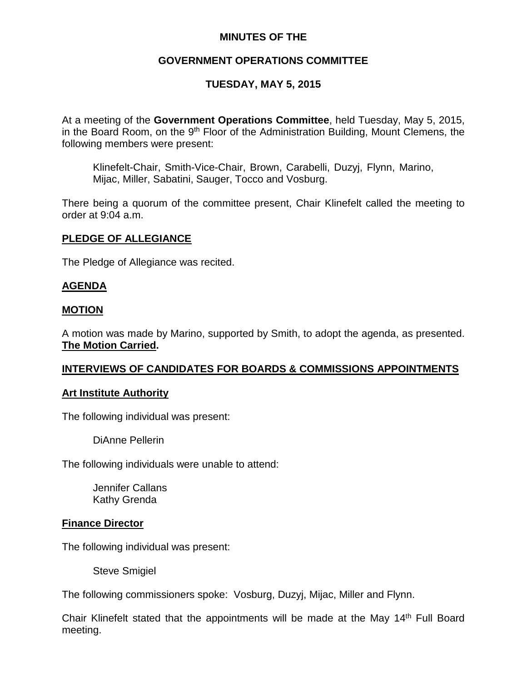# **MINUTES OF THE**

# **GOVERNMENT OPERATIONS COMMITTEE**

# **TUESDAY, MAY 5, 2015**

At a meeting of the **Government Operations Committee**, held Tuesday, May 5, 2015, in the Board Room, on the  $9<sup>th</sup>$  Floor of the Administration Building, Mount Clemens, the following members were present:

Klinefelt-Chair, Smith-Vice-Chair, Brown, Carabelli, Duzyj, Flynn, Marino, Mijac, Miller, Sabatini, Sauger, Tocco and Vosburg.

There being a quorum of the committee present, Chair Klinefelt called the meeting to order at 9:04 a.m.

## **PLEDGE OF ALLEGIANCE**

The Pledge of Allegiance was recited.

## **AGENDA**

### **MOTION**

A motion was made by Marino, supported by Smith, to adopt the agenda, as presented. **The Motion Carried.**

### **INTERVIEWS OF CANDIDATES FOR BOARDS & COMMISSIONS APPOINTMENTS**

### **Art Institute Authority**

The following individual was present:

DiAnne Pellerin

The following individuals were unable to attend:

Jennifer Callans Kathy Grenda

### **Finance Director**

The following individual was present:

Steve Smigiel

The following commissioners spoke: Vosburg, Duzyj, Mijac, Miller and Flynn.

Chair Klinefelt stated that the appointments will be made at the May 14<sup>th</sup> Full Board meeting.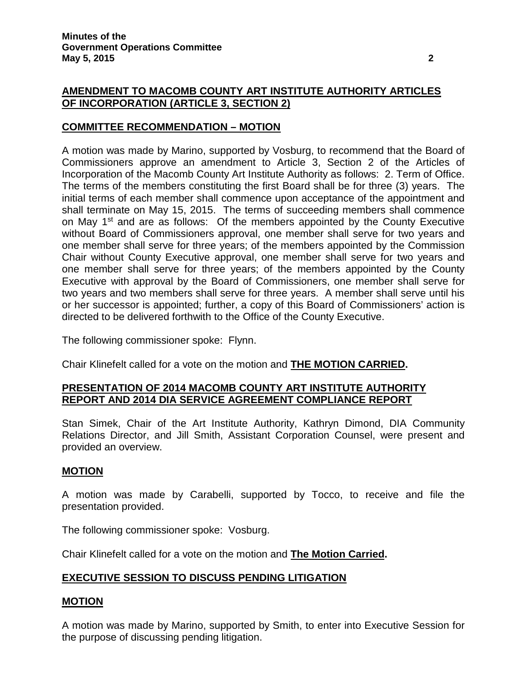# **AMENDMENT TO MACOMB COUNTY ART INSTITUTE AUTHORITY ARTICLES OF INCORPORATION (ARTICLE 3, SECTION 2)**

# **COMMITTEE RECOMMENDATION – MOTION**

A motion was made by Marino, supported by Vosburg, to recommend that the Board of Commissioners approve an amendment to Article 3, Section 2 of the Articles of Incorporation of the Macomb County Art Institute Authority as follows: 2. Term of Office. The terms of the members constituting the first Board shall be for three (3) years. The initial terms of each member shall commence upon acceptance of the appointment and shall terminate on May 15, 2015. The terms of succeeding members shall commence on May 1<sup>st</sup> and are as follows: Of the members appointed by the County Executive without Board of Commissioners approval, one member shall serve for two years and one member shall serve for three years; of the members appointed by the Commission Chair without County Executive approval, one member shall serve for two years and one member shall serve for three years; of the members appointed by the County Executive with approval by the Board of Commissioners, one member shall serve for two years and two members shall serve for three years. A member shall serve until his or her successor is appointed; further, a copy of this Board of Commissioners' action is directed to be delivered forthwith to the Office of the County Executive.

The following commissioner spoke: Flynn.

Chair Klinefelt called for a vote on the motion and **THE MOTION CARRIED.**

## **PRESENTATION OF 2014 MACOMB COUNTY ART INSTITUTE AUTHORITY REPORT AND 2014 DIA SERVICE AGREEMENT COMPLIANCE REPORT**

Stan Simek, Chair of the Art Institute Authority, Kathryn Dimond, DIA Community Relations Director, and Jill Smith, Assistant Corporation Counsel, were present and provided an overview.

### **MOTION**

A motion was made by Carabelli, supported by Tocco, to receive and file the presentation provided.

The following commissioner spoke: Vosburg.

Chair Klinefelt called for a vote on the motion and **The Motion Carried.**

# **EXECUTIVE SESSION TO DISCUSS PENDING LITIGATION**

### **MOTION**

A motion was made by Marino, supported by Smith, to enter into Executive Session for the purpose of discussing pending litigation.